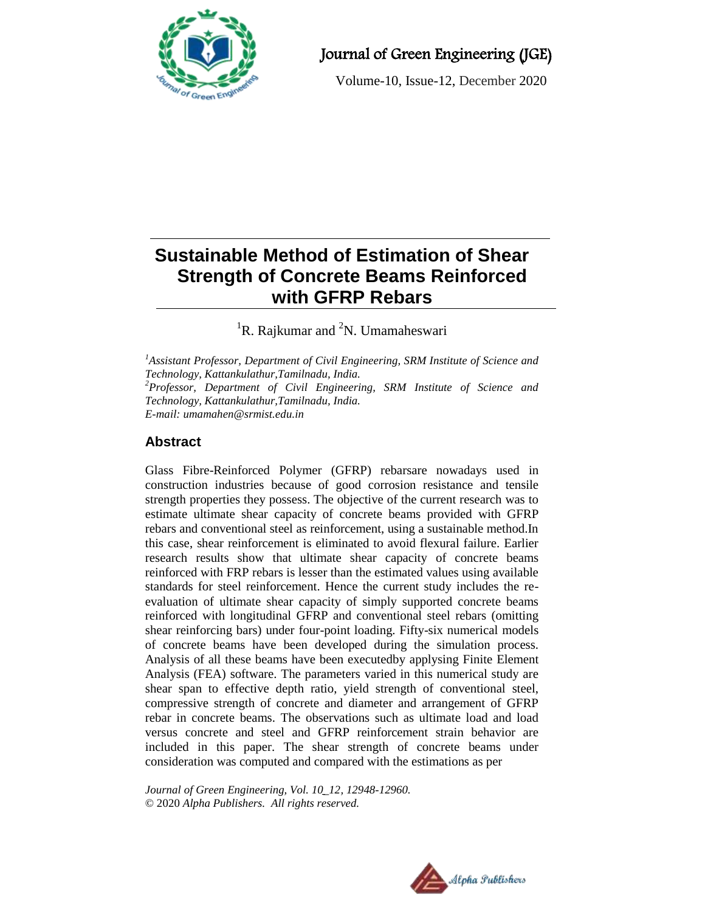

# Journal of Green Engineering (JGE)

Volume-10, Issue-12, December 2020

# **Sustainable Method of Estimation of Shear Strength of Concrete Beams Reinforced with GFRP Rebars**

<sup>1</sup>R. Rajkumar and <sup>2</sup>N. Umamaheswari

*<sup>1</sup>Assistant Professor, Department of Civil Engineering, SRM Institute of Science and Technology, Kattankulathur,Tamilnadu, India. <sup>2</sup>Professor, Department of Civil Engineering, SRM Institute of Science and Technology, Kattankulathur,Tamilnadu, India. E-mail: umamahen@srmist.edu.in*

## **Abstract**

Glass Fibre-Reinforced Polymer (GFRP) rebarsare nowadays used in construction industries because of good corrosion resistance and tensile strength properties they possess. The objective of the current research was to estimate ultimate shear capacity of concrete beams provided with GFRP rebars and conventional steel as reinforcement, using a sustainable method.In this case, shear reinforcement is eliminated to avoid flexural failure. Earlier research results show that ultimate shear capacity of concrete beams reinforced with FRP rebars is lesser than the estimated values using available standards for steel reinforcement. Hence the current study includes the reevaluation of ultimate shear capacity of simply supported concrete beams reinforced with longitudinal GFRP and conventional steel rebars (omitting shear reinforcing bars) under four-point loading. Fifty-six numerical models of concrete beams have been developed during the simulation process. Analysis of all these beams have been executedby applysing Finite Element Analysis (FEA) software. The parameters varied in this numerical study are shear span to effective depth ratio, yield strength of conventional steel, compressive strength of concrete and diameter and arrangement of GFRP rebar in concrete beams. The observations such as ultimate load and load versus concrete and steel and GFRP reinforcement strain behavior are included in this paper. The shear strength of concrete beams under consideration was computed and compared with the estimations as per

*Journal of Green Engineering, Vol. 10\_12, 12948-12960.* © 2020 *Alpha Publishers. All rights reserved.*

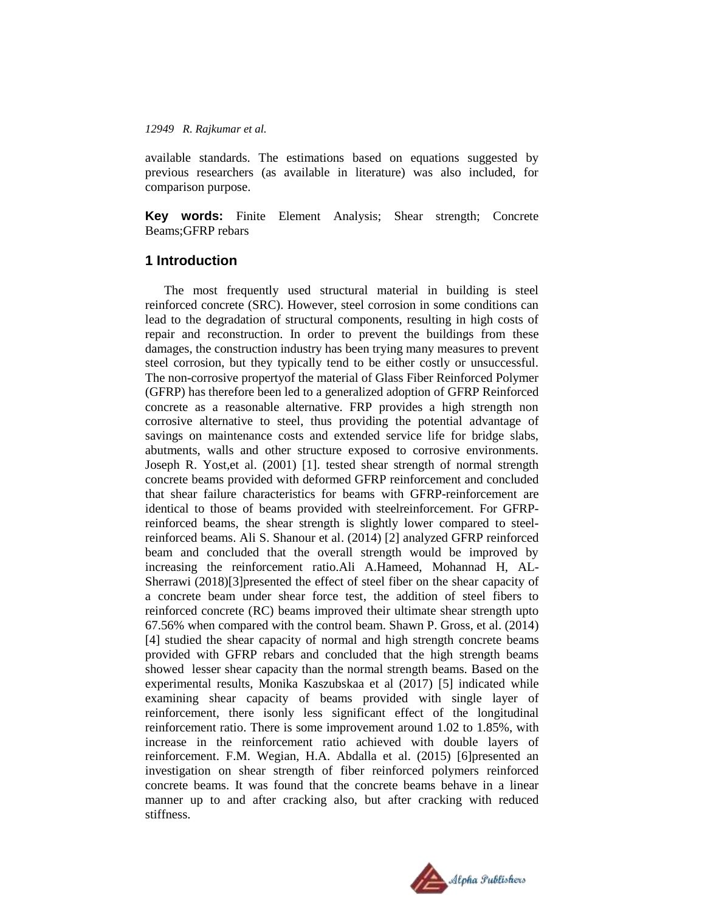available standards. The estimations based on equations suggested by previous researchers (as available in literature) was also included, for comparison purpose.

**Key words:** Finite Element Analysis; Shear strength; Concrete Beams;GFRP rebars

## **1 Introduction**

The most frequently used structural material in building is steel reinforced concrete (SRC). However, steel corrosion in some conditions can lead to the degradation of structural components, resulting in high costs of repair and reconstruction. In order to prevent the buildings from these damages, the construction industry has been trying many measures to prevent steel corrosion, but they typically tend to be either costly or unsuccessful. The non-corrosive propertyof the material of Glass Fiber Reinforced Polymer (GFRP) has therefore been led to a generalized adoption of GFRP Reinforced concrete as a reasonable alternative. FRP provides a high strength non corrosive alternative to steel, thus providing the potential advantage of savings on maintenance costs and extended service life for bridge slabs, abutments, walls and other structure exposed to corrosive environments. Joseph R. Yost,et al. (2001) [1]. tested shear strength of normal strength concrete beams provided with deformed GFRP reinforcement and concluded that shear failure characteristics for beams with GFRP-reinforcement are identical to those of beams provided with steelreinforcement. For GFRPreinforced beams, the shear strength is slightly lower compared to steelreinforced beams. Ali S. Shanour et al. (2014) [2] analyzed GFRP reinforced beam and concluded that the overall strength would be improved by increasing the reinforcement ratio.Ali A.Hameed, Mohannad H, AL-Sherrawi (2018)[3]presented the effect of steel fiber on the shear capacity of a concrete beam under shear force test, the addition of steel fibers to reinforced concrete (RC) beams improved their ultimate shear strength upto 67.56% when compared with the control beam. Shawn P. Gross, et al. (2014) [4] studied the shear capacity of normal and high strength concrete beams provided with GFRP rebars and concluded that the high strength beams showed lesser shear capacity than the normal strength beams. Based on the experimental results, Monika Kaszubskaa et al (2017) [5] indicated while examining shear capacity of beams provided with single layer of reinforcement, there isonly less significant effect of the longitudinal reinforcement ratio. There is some improvement around 1.02 to 1.85%, with increase in the reinforcement ratio achieved with double layers of reinforcement. F.M. Wegian, H.A. Abdalla et al. (2015) [6]presented an investigation on shear strength of fiber reinforced polymers reinforced concrete beams. It was found that the concrete beams behave in a linear manner up to and after cracking also, but after cracking with reduced stiffness.

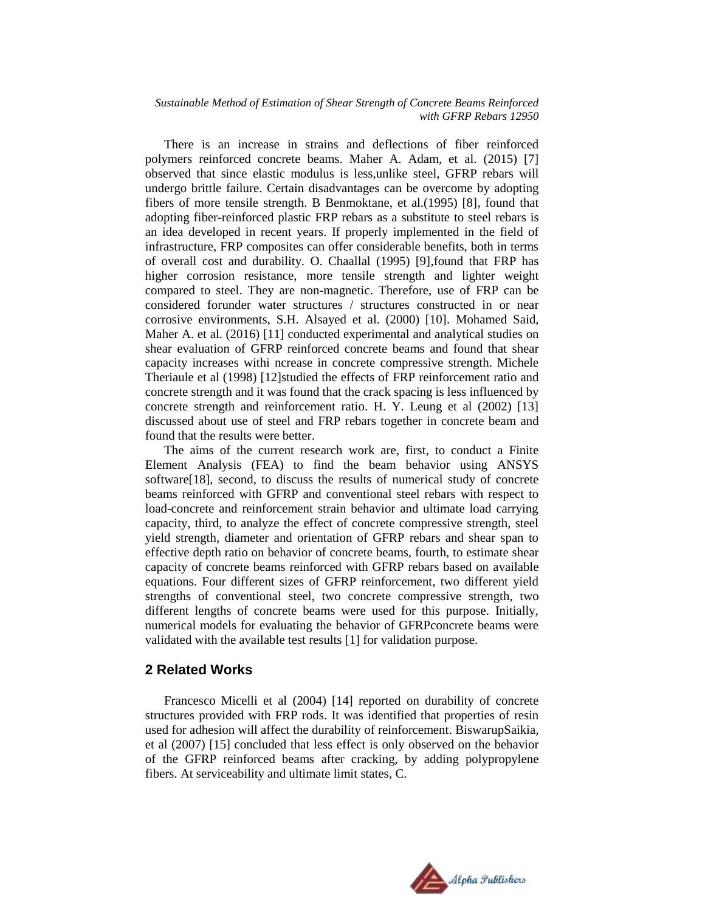There is an increase in strains and deflections of fiber reinforced polymers reinforced concrete beams. Maher A. Adam, et al. (2015) [7] observed that since elastic modulus is less,unlike steel, GFRP rebars will undergo brittle failure. Certain disadvantages can be overcome by adopting fibers of more tensile strength. B Benmoktane, et al.(1995) [8], found that adopting fiber-reinforced plastic FRP rebars as a substitute to steel rebars is an idea developed in recent years. If properly implemented in the field of infrastructure, FRP composites can offer considerable benefits, both in terms of overall cost and durability. O. Chaallal (1995) [9],found that FRP has higher corrosion resistance, more tensile strength and lighter weight compared to steel. They are non-magnetic. Therefore, use of FRP can be considered forunder water structures / structures constructed in or near corrosive environments, S.H. Alsayed et al. (2000) [10]. Mohamed Said, Maher A. et al. (2016) [11] conducted experimental and analytical studies on shear evaluation of GFRP reinforced concrete beams and found that shear capacity increases withi ncrease in concrete compressive strength. Michele Theriaule et al (1998) [12]studied the effects of FRP reinforcement ratio and concrete strength and it was found that the crack spacing is less influenced by concrete strength and reinforcement ratio. H. Y. Leung et al (2002) [13] discussed about use of steel and FRP rebars together in concrete beam and found that the results were better.

The aims of the current research work are, first, to conduct a Finite Element Analysis (FEA) to find the beam behavior using ANSYS software[18], second, to discuss the results of numerical study of concrete beams reinforced with GFRP and conventional steel rebars with respect to load-concrete and reinforcement strain behavior and ultimate load carrying capacity, third, to analyze the effect of concrete compressive strength, steel yield strength, diameter and orientation of GFRP rebars and shear span to effective depth ratio on behavior of concrete beams, fourth, to estimate shear capacity of concrete beams reinforced with GFRP rebars based on available equations. Four different sizes of GFRP reinforcement, two different yield strengths of conventional steel, two concrete compressive strength, two different lengths of concrete beams were used for this purpose. Initially, numerical models for evaluating the behavior of GFRPconcrete beams were validated with the available test results [1] for validation purpose.

#### **2 Related Works**

Francesco Micelli et al (2004) [14] reported on durability of concrete structures provided with FRP rods. It was identified that properties of resin used for adhesion will affect the durability of reinforcement. BiswarupSaikia, et al (2007) [15] concluded that less effect is only observed on the behavior of the GFRP reinforced beams after cracking, by adding polypropylene fibers. At serviceability and ultimate limit states, C.

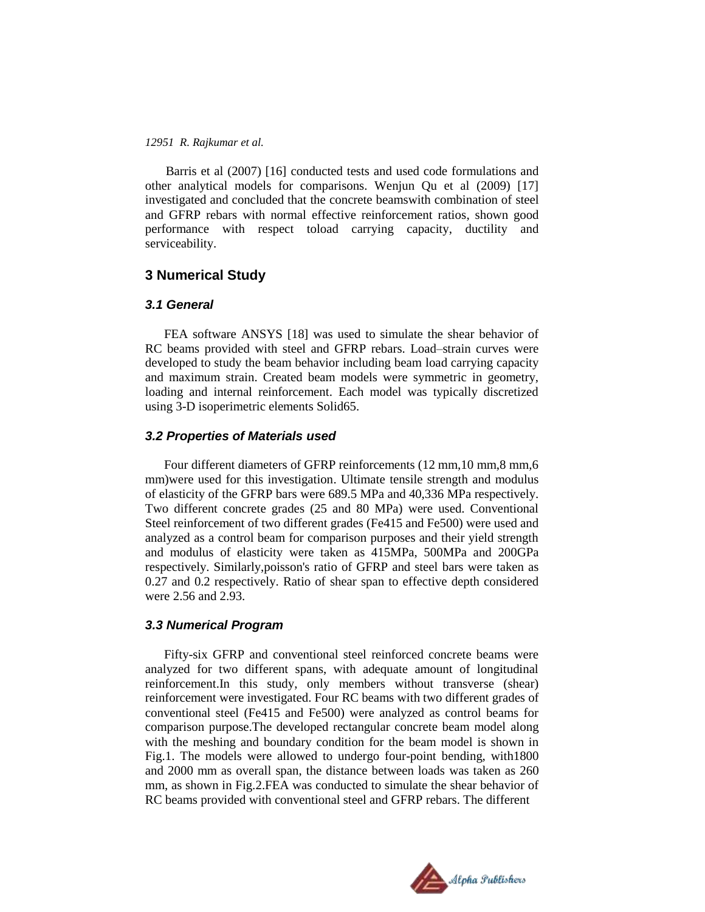Barris et al (2007) [16] conducted tests and used code formulations and other analytical models for comparisons. Wenjun Qu et al (2009) [17] investigated and concluded that the concrete beamswith combination of steel and GFRP rebars with normal effective reinforcement ratios, shown good performance with respect toload carrying capacity, ductility and serviceability.

## **3 Numerical Study**

#### *3.1 General*

FEA software ANSYS [18] was used to simulate the shear behavior of RC beams provided with steel and GFRP rebars. Load–strain curves were developed to study the beam behavior including beam load carrying capacity and maximum strain. Created beam models were symmetric in geometry, loading and internal reinforcement. Each model was typically discretized using 3-D isoperimetric elements Solid65.

## *3.2 Properties of Materials used*

Four different diameters of GFRP reinforcements (12 mm,10 mm,8 mm,6 mm)were used for this investigation. Ultimate tensile strength and modulus of elasticity of the GFRP bars were 689.5 MPa and 40,336 MPa respectively. Two different concrete grades (25 and 80 MPa) were used. Conventional Steel reinforcement of two different grades (Fe415 and Fe500) were used and analyzed as a control beam for comparison purposes and their yield strength and modulus of elasticity were taken as 415MPa, 500MPa and 200GPa respectively. Similarly,poisson's ratio of GFRP and steel bars were taken as 0.27 and 0.2 respectively. Ratio of shear span to effective depth considered were 2.56 and 2.93.

#### *3.3 Numerical Program*

Fifty-six GFRP and conventional steel reinforced concrete beams were analyzed for two different spans, with adequate amount of longitudinal reinforcement.In this study, only members without transverse (shear) reinforcement were investigated. Four RC beams with two different grades of conventional steel (Fe415 and Fe500) were analyzed as control beams for comparison purpose.The developed rectangular concrete beam model along with the meshing and boundary condition for the beam model is shown in Fig.1. The models were allowed to undergo four-point bending, with1800 and 2000 mm as overall span, the distance between loads was taken as 260 mm, as shown in Fig.2.FEA was conducted to simulate the shear behavior of RC beams provided with conventional steel and GFRP rebars. The different

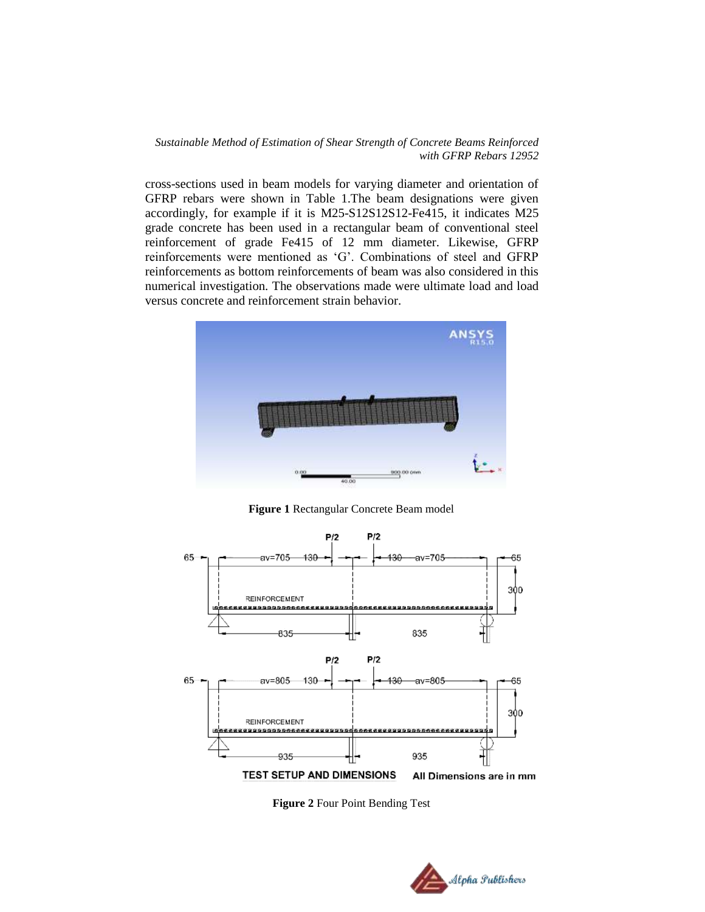cross-sections used in beam models for varying diameter and orientation of GFRP rebars were shown in Table 1.The beam designations were given accordingly, for example if it is M25-S12S12S12-Fe415, it indicates M25 grade concrete has been used in a rectangular beam of conventional steel reinforcement of grade Fe415 of 12 mm diameter. Likewise, GFRP reinforcements were mentioned as "G". Combinations of steel and GFRP reinforcements as bottom reinforcements of beam was also considered in this numerical investigation. The observations made were ultimate load and load versus concrete and reinforcement strain behavior.



**Figure 1** Rectangular Concrete Beam model



**Figure 2** Four Point Bending Test

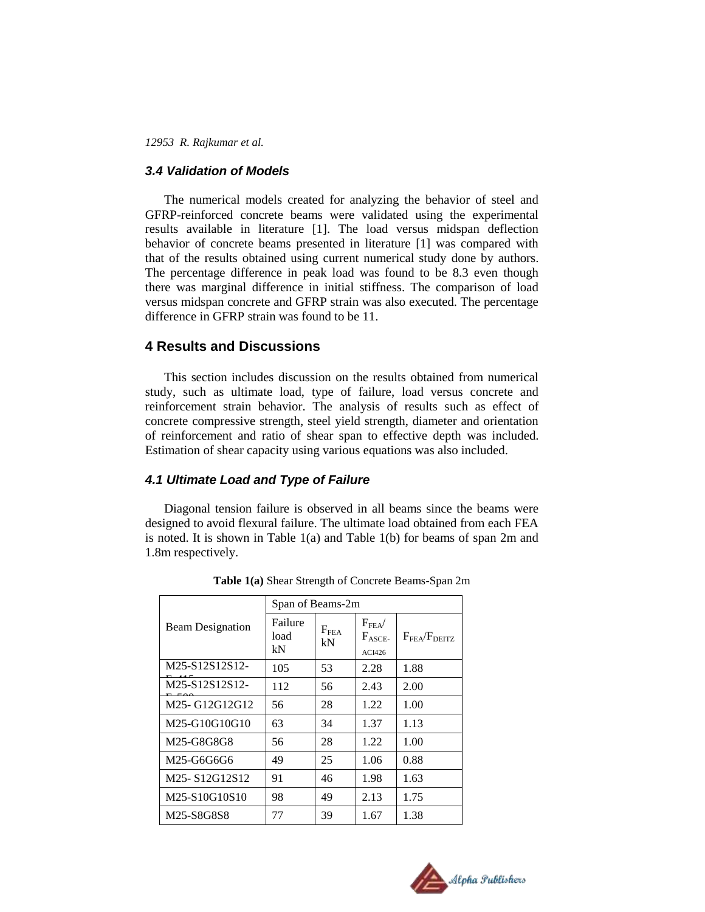#### *3.4 Validation of Models*

The numerical models created for analyzing the behavior of steel and GFRP-reinforced concrete beams were validated using the experimental results available in literature [1]. The load versus midspan deflection behavior of concrete beams presented in literature [1] was compared with that of the results obtained using current numerical study done by authors. The percentage difference in peak load was found to be 8.3 even though there was marginal difference in initial stiffness. The comparison of load versus midspan concrete and GFRP strain was also executed. The percentage difference in GFRP strain was found to be 11.

## **4 Results and Discussions**

This section includes discussion on the results obtained from numerical study, such as ultimate load, type of failure, load versus concrete and reinforcement strain behavior. The analysis of results such as effect of concrete compressive strength, steel yield strength, diameter and orientation of reinforcement and ratio of shear span to effective depth was included. Estimation of shear capacity using various equations was also included.

#### *4.1 Ultimate Load and Type of Failure*

Diagonal tension failure is observed in all beams since the beams were designed to avoid flexural failure. The ultimate load obtained from each FEA is noted. It is shown in Table 1(a) and Table 1(b) for beams of span 2m and 1.8m respectively.

|                                        | Span of Beams-2m      |                        |                                              |                             |
|----------------------------------------|-----------------------|------------------------|----------------------------------------------|-----------------------------|
| <b>Beam Designation</b>                | Failure<br>load<br>kN | F <sub>FEA</sub><br>kN | $F_{\rm FEA}$<br>$F_{\text{ASCE}}$<br>ACI426 | $F_{\rm FEA}/F_{\rm DEITZ}$ |
| M25-S12S12S12-                         | 105                   | 53                     | 2.28                                         | 1.88                        |
| M25-S12S12S12-                         | 112                   | 56                     | 2.43                                         | 2.00                        |
| M <sub>25</sub> -G <sub>12G12G12</sub> | 56                    | 28                     | 1.22                                         | 1.00                        |
| M25-G10G10G10                          | 63                    | 34                     | 1.37                                         | 1.13                        |
| M25-G8G8G8                             | 56                    | 28                     | 1.22                                         | 1.00                        |
| M25-G6G6G6                             | 49                    | 25                     | 1.06                                         | 0.88                        |
| M <sub>25</sub> -S <sub>12G12S12</sub> | 91                    | 46                     | 1.98                                         | 1.63                        |
| M25-S10G10S10                          | 98                    | 49                     | 2.13                                         | 1.75                        |
| M25-S8G8S8                             | 77                    | 39                     | 1.67                                         | 1.38                        |

**Table 1(a)** Shear Strength of Concrete Beams-Span 2m

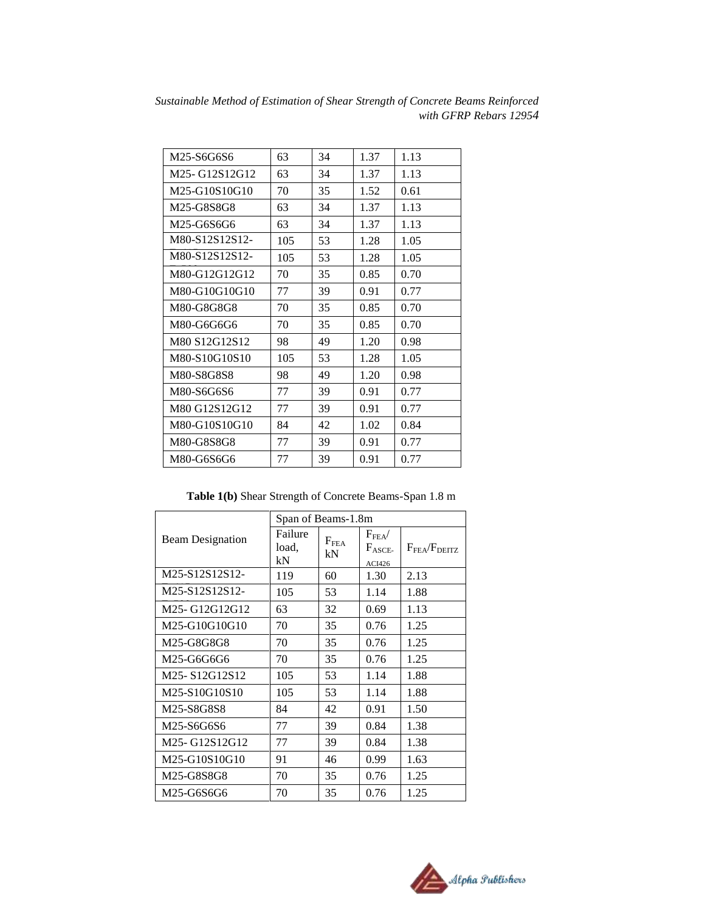| M25-S6G6S6     | 63  | 34 | 1.37 | 1.13 |
|----------------|-----|----|------|------|
| M25-G12S12G12  | 63  | 34 | 1.37 | 1.13 |
| M25-G10S10G10  | 70  | 35 | 1.52 | 0.61 |
| M25-G8S8G8     | 63  | 34 | 1.37 | 1.13 |
| M25-G6S6G6     | 63  | 34 | 1.37 | 1.13 |
| M80-S12S12S12- | 105 | 53 | 1.28 | 1.05 |
| M80-S12S12S12- | 105 | 53 | 1.28 | 1.05 |
| M80-G12G12G12  | 70  | 35 | 0.85 | 0.70 |
| M80-G10G10G10  | 77  | 39 | 0.91 | 0.77 |
| M80-G8G8G8     | 70  | 35 | 0.85 | 0.70 |
| M80-G6G6G6     | 70  | 35 | 0.85 | 0.70 |
| M80 S12G12S12  | 98  | 49 | 1.20 | 0.98 |
| M80-S10G10S10  | 105 | 53 | 1.28 | 1.05 |
| M80-S8G8S8     | 98  | 49 | 1.20 | 0.98 |
| M80-S6G6S6     | 77  | 39 | 0.91 | 0.77 |
| M80 G12S12G12  | 77  | 39 | 0.91 | 0.77 |
| M80-G10S10G10  | 84  | 42 | 1.02 | 0.84 |
| M80-G8S8G8     | 77  | 39 | 0.91 | 0.77 |
| M80-G6S6G6     | 77  | 39 | 0.91 | 0.77 |

**Table 1(b)** Shear Strength of Concrete Beams-Span 1.8 m

|                                        | Span of Beams-1.8m     |                     |                                                    |                                       |
|----------------------------------------|------------------------|---------------------|----------------------------------------------------|---------------------------------------|
| <b>Beam Designation</b>                | Failure<br>load,<br>kN | $F_{\rm FEA}$<br>kN | $F_{\mathrm{FEA}}/$<br>$F_{\text{ASEE}}$<br>ACI426 | $F_{\mathrm{FEA}}/F_{\mathrm{DEITZ}}$ |
| M25-S12S12S12-                         | 119                    | 60                  | 1.30                                               | 2.13                                  |
| M25-S12S12S12-                         | 105                    | 53                  | 1.14                                               | 1.88                                  |
| M25-G12G12G12                          | 63                     | 32                  | 0.69                                               | 1.13                                  |
| M25-G10G10G10                          | 70                     | 35                  | 0.76                                               | 1.25                                  |
| M25-G8G8G8                             | 70                     | 35                  | 0.76                                               | 1.25                                  |
| M25-G6G6G6                             | 70                     | 35                  | 0.76                                               | 1.25                                  |
| M <sub>25</sub> -S <sub>12G12S12</sub> | 105                    | 53                  | 1.14                                               | 1.88                                  |
| M25-S10G10S10                          | 105                    | 53                  | 1.14                                               | 1.88                                  |
| M25-S8G8S8                             | 84                     | 42                  | 0.91                                               | 1.50                                  |
| M25-S6G6S6                             | 77                     | 39                  | 0.84                                               | 1.38                                  |
| M25-G12S12G12                          | 77                     | 39                  | 0.84                                               | 1.38                                  |
| M25-G10S10G10                          | 91                     | 46                  | 0.99                                               | 1.63                                  |
| M25-G8S8G8                             | 70                     | 35                  | 0.76                                               | 1.25                                  |
| M25-G6S6G6                             | 70                     | 35                  | 0.76                                               | 1.25                                  |

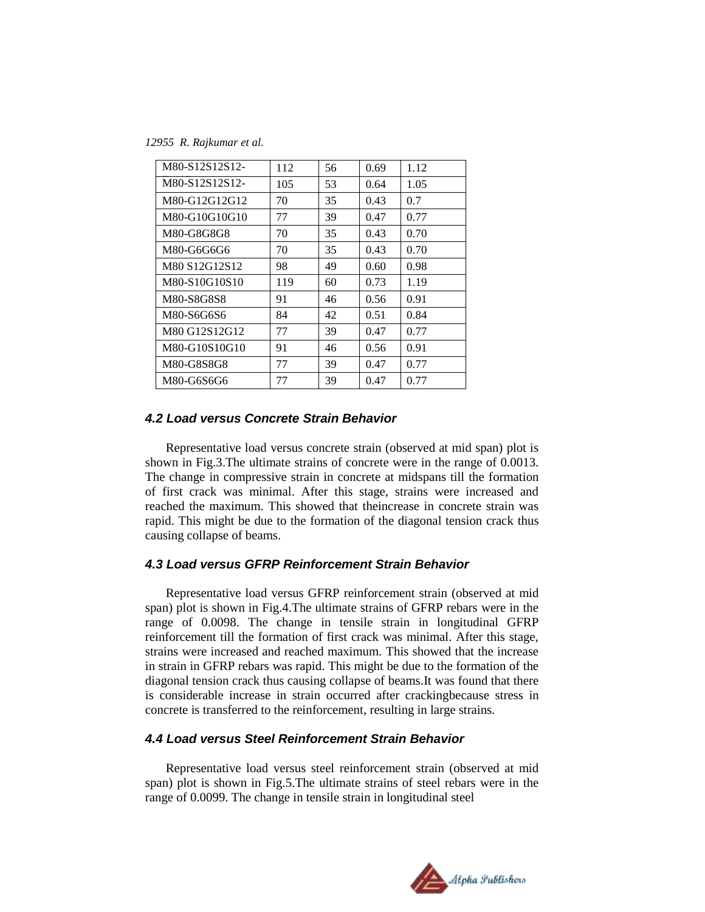*12955 R. Rajkumar et al.*

| M80-S12S12S12- | 112 | 56 | 0.69 | 1.12 |
|----------------|-----|----|------|------|
| M80-S12S12S12- | 105 | 53 | 0.64 | 1.05 |
| M80-G12G12G12  | 70  | 35 | 0.43 | 0.7  |
| M80-G10G10G10  | 77  | 39 | 0.47 | 0.77 |
| M80-G8G8G8     | 70  | 35 | 0.43 | 0.70 |
| M80-G6G6G6     | 70  | 35 | 0.43 | 0.70 |
| M80 S12G12S12  | 98  | 49 | 0.60 | 0.98 |
| M80-S10G10S10  | 119 | 60 | 0.73 | 1.19 |
| M80-S8G8S8     | 91  | 46 | 0.56 | 0.91 |
| M80-S6G6S6     | 84  | 42 | 0.51 | 0.84 |
| M80 G12S12G12  | 77  | 39 | 0.47 | 0.77 |
| M80-G10S10G10  | 91  | 46 | 0.56 | 0.91 |
| M80-G8S8G8     | 77  | 39 | 0.47 | 0.77 |
| M80-G6S6G6     | 77  | 39 | 0.47 | 0.77 |

### *4.2 Load versus Concrete Strain Behavior*

Representative load versus concrete strain (observed at mid span) plot is shown in Fig.3.The ultimate strains of concrete were in the range of 0.0013. The change in compressive strain in concrete at midspans till the formation of first crack was minimal. After this stage, strains were increased and reached the maximum. This showed that theincrease in concrete strain was rapid. This might be due to the formation of the diagonal tension crack thus causing collapse of beams.

## *4.3 Load versus GFRP Reinforcement Strain Behavior*

Representative load versus GFRP reinforcement strain (observed at mid span) plot is shown in Fig.4.The ultimate strains of GFRP rebars were in the range of 0.0098. The change in tensile strain in longitudinal GFRP reinforcement till the formation of first crack was minimal. After this stage, strains were increased and reached maximum. This showed that the increase in strain in GFRP rebars was rapid. This might be due to the formation of the diagonal tension crack thus causing collapse of beams.It was found that there is considerable increase in strain occurred after crackingbecause stress in concrete is transferred to the reinforcement, resulting in large strains.

#### *4.4 Load versus Steel Reinforcement Strain Behavior*

Representative load versus steel reinforcement strain (observed at mid span) plot is shown in Fig.5.The ultimate strains of steel rebars were in the range of 0.0099. The change in tensile strain in longitudinal steel

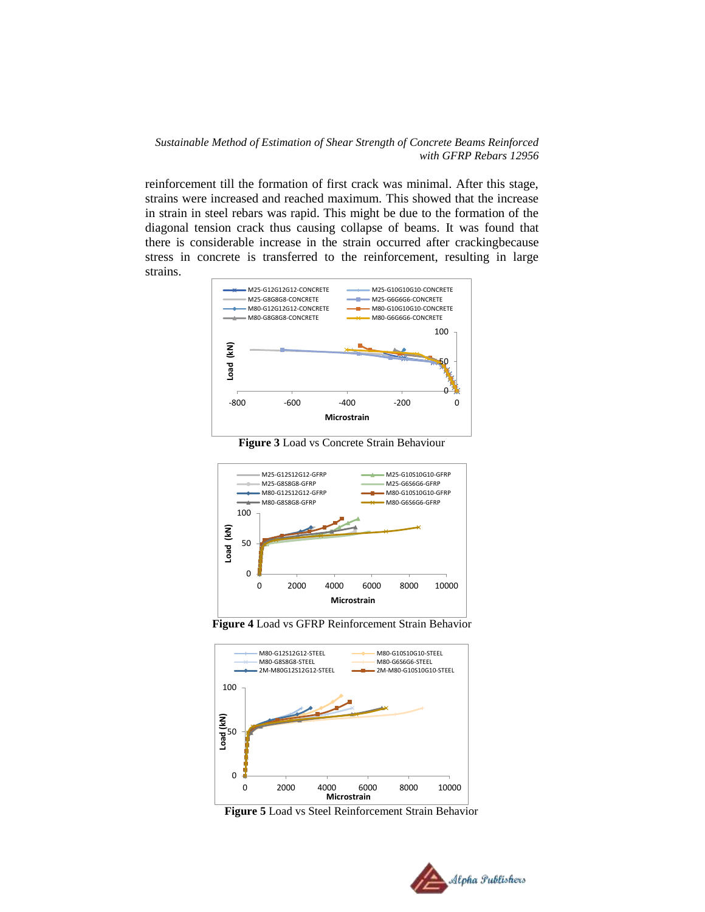reinforcement till the formation of first crack was minimal. After this stage, strains were increased and reached maximum. This showed that the increase in strain in steel rebars was rapid. This might be due to the formation of the diagonal tension crack thus causing collapse of beams. It was found that there is considerable increase in the strain occurred after crackingbecause stress in concrete is transferred to the reinforcement, resulting in large strains.



**Figure 3** Load vs Concrete Strain Behaviour







**Figure 5** Load vs Steel Reinforcement Strain Behavior

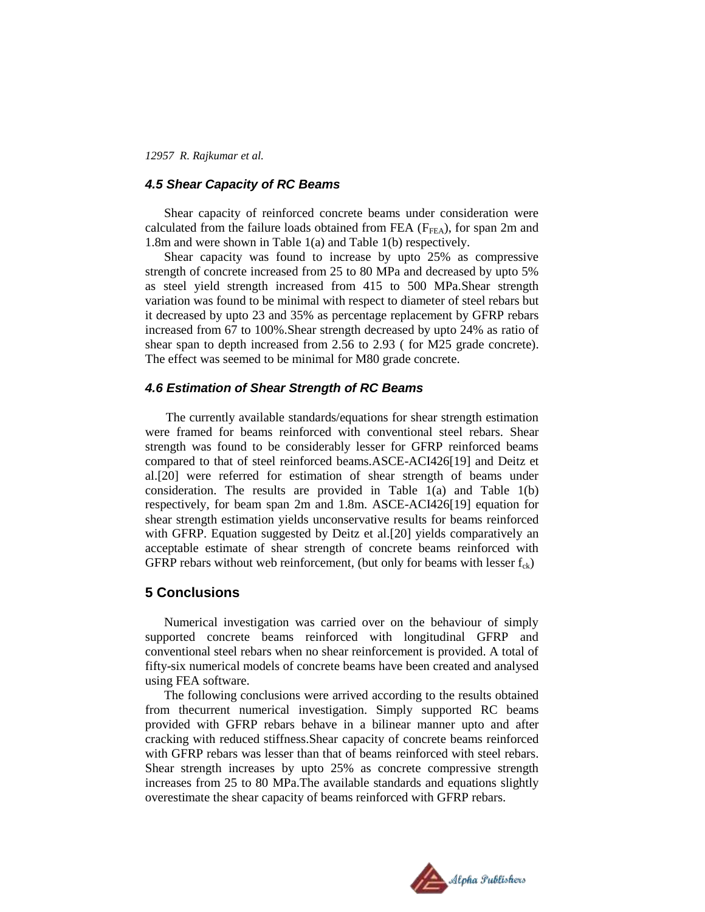## *4.5 Shear Capacity of RC Beams*

Shear capacity of reinforced concrete beams under consideration were calculated from the failure loads obtained from FEA ( $F_{\text{FEA}}$ ), for span 2m and 1.8m and were shown in Table 1(a) and Table 1(b) respectively.

Shear capacity was found to increase by upto 25% as compressive strength of concrete increased from 25 to 80 MPa and decreased by upto 5% as steel yield strength increased from 415 to 500 MPa.Shear strength variation was found to be minimal with respect to diameter of steel rebars but it decreased by upto 23 and 35% as percentage replacement by GFRP rebars increased from 67 to 100%.Shear strength decreased by upto 24% as ratio of shear span to depth increased from 2.56 to 2.93 ( for M25 grade concrete). The effect was seemed to be minimal for M80 grade concrete.

#### *4.6 Estimation of Shear Strength of RC Beams*

The currently available standards/equations for shear strength estimation were framed for beams reinforced with conventional steel rebars. Shear strength was found to be considerably lesser for GFRP reinforced beams compared to that of steel reinforced beams.ASCE-ACI426[19] and Deitz et al.[20] were referred for estimation of shear strength of beams under consideration. The results are provided in Table 1(a) and Table 1(b) respectively, for beam span 2m and 1.8m. ASCE-ACI426[19] equation for shear strength estimation yields unconservative results for beams reinforced with GFRP. Equation suggested by Deitz et al.[20] yields comparatively an acceptable estimate of shear strength of concrete beams reinforced with GFRP rebars without web reinforcement, (but only for beams with lesser  $f_{ck}$ )

#### **5 Conclusions**

Numerical investigation was carried over on the behaviour of simply supported concrete beams reinforced with longitudinal GFRP and conventional steel rebars when no shear reinforcement is provided. A total of fifty-six numerical models of concrete beams have been created and analysed using FEA software.

The following conclusions were arrived according to the results obtained from thecurrent numerical investigation. Simply supported RC beams provided with GFRP rebars behave in a bilinear manner upto and after cracking with reduced stiffness.Shear capacity of concrete beams reinforced with GFRP rebars was lesser than that of beams reinforced with steel rebars. Shear strength increases by upto 25% as concrete compressive strength increases from 25 to 80 MPa.The available standards and equations slightly overestimate the shear capacity of beams reinforced with GFRP rebars.

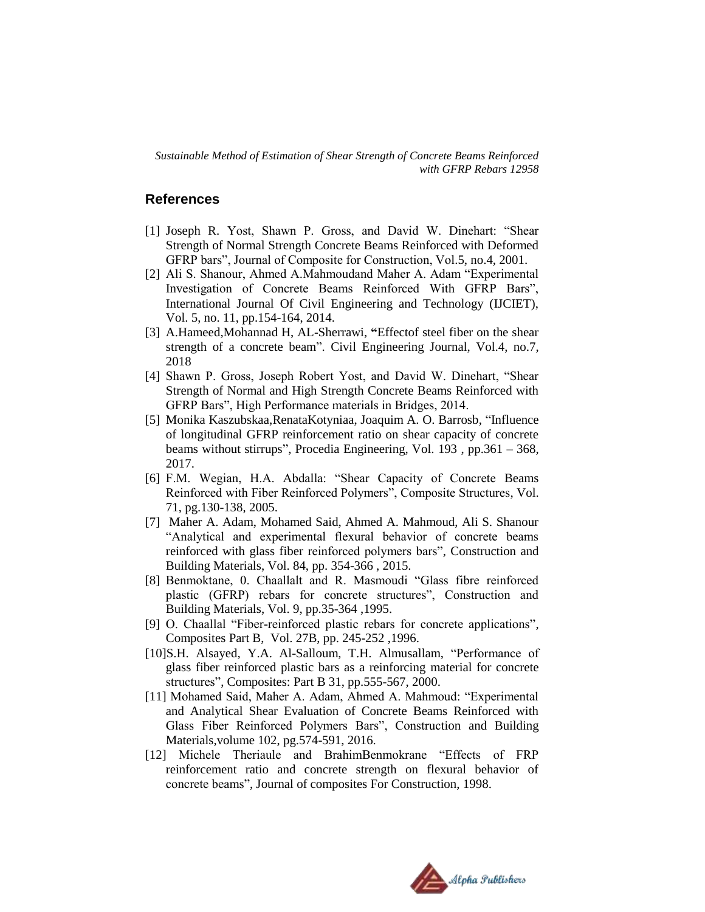## **References**

- [1] Joseph R. Yost, Shawn P. Gross, and David W. Dinehart: "Shear Strength of Normal Strength Concrete Beams Reinforced with Deformed GFRP bars", Journal of Composite for Construction, Vol.5, no.4, 2001.
- [2] Ali S. Shanour, Ahmed A.Mahmoudand Maher A. Adam "Experimental Investigation of Concrete Beams Reinforced With GFRP Bars", International Journal Of Civil Engineering and Technology (IJCIET), Vol. 5, no. 11, pp.154-164, 2014.
- [3] A.Hameed,Mohannad H, AL-Sherrawi, **"**Effectof steel fiber on the shear strength of a concrete beam". Civil Engineering Journal, Vol.4, no.7, 2018
- [4] Shawn P. Gross, Joseph Robert Yost, and David W. Dinehart, "Shear Strength of Normal and High Strength Concrete Beams Reinforced with GFRP Bars", High Performance materials in Bridges, 2014.
- [5] Monika Kaszubskaa,RenataKotyniaa, Joaquim A. O. Barrosb, "Influence of longitudinal GFRP reinforcement ratio on shear capacity of concrete beams without stirrups", Procedia Engineering, Vol. 193 , pp.361 – 368, 2017.
- [6] F.M. Wegian, H.A. Abdalla: "Shear Capacity of Concrete Beams Reinforced with Fiber Reinforced Polymers", Composite Structures, Vol. 71, pg.130-138, 2005.
- [7] Maher A. Adam, Mohamed Said, Ahmed A. Mahmoud, Ali S. Shanour "Analytical and experimental flexural behavior of concrete beams reinforced with glass fiber reinforced polymers bars", Construction and Building Materials, Vol. 84, pp. 354-366 , 2015.
- [8] Benmoktane, 0. Chaallalt and R. Masmoudi "Glass fibre reinforced plastic (GFRP) rebars for concrete structures", Construction and Building Materials, Vol. 9, pp.35-364 ,1995.
- [9] O. Chaallal "Fiber-reinforced plastic rebars for concrete applications", Composites Part B, Vol. 27B, pp. 245-252 ,1996.
- [10]S.H. Alsayed, Y.A. Al-Salloum, T.H. Almusallam, "Performance of glass fiber reinforced plastic bars as a reinforcing material for concrete structures", Composites: Part B 31, pp.555-567, 2000.
- [11] Mohamed Said, Maher A. Adam, Ahmed A. Mahmoud: "Experimental and Analytical Shear Evaluation of Concrete Beams Reinforced with Glass Fiber Reinforced Polymers Bars", Construction and Building Materials,volume 102, pg.574-591, 2016.
- [12] Michele Theriaule and BrahimBenmokrane "Effects of FRP reinforcement ratio and concrete strength on flexural behavior of concrete beams", Journal of composites For Construction, 1998.

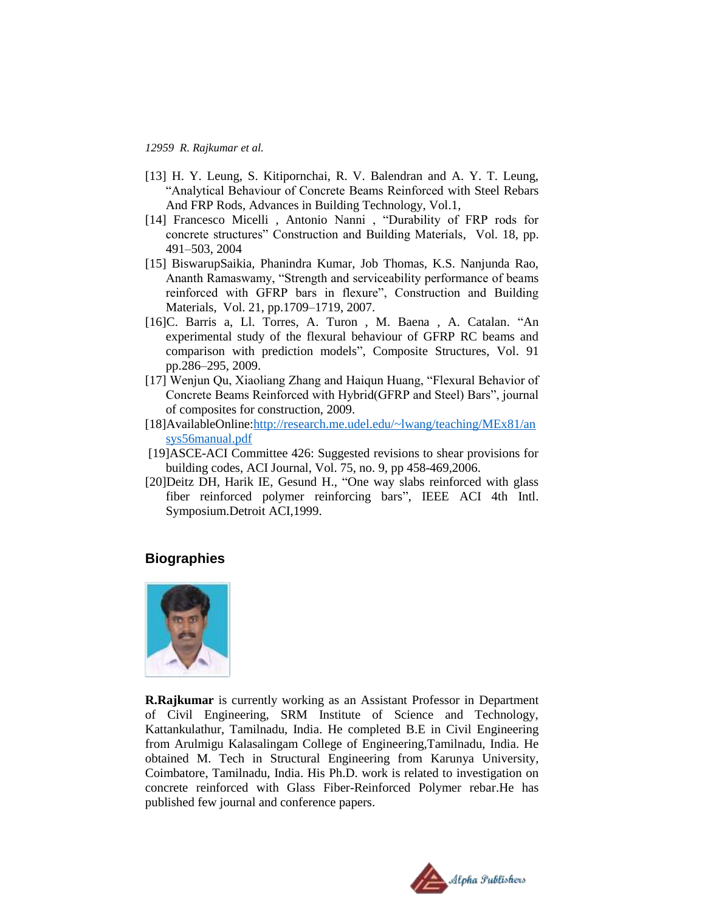- [13] H. Y. Leung, S. Kitipornchai, R. V. Balendran and A. Y. T. Leung, "Analytical Behaviour of Concrete Beams Reinforced with Steel Rebars And FRP Rods, Advances in Building Technology, Vol.1,
- [14] Francesco Micelli , Antonio Nanni , "Durability of FRP rods for concrete structures" Construction and Building Materials, Vol. 18, pp. 491–503, 2004
- [15] BiswarupSaikia, Phanindra Kumar, Job Thomas, K.S. Nanjunda Rao, Ananth Ramaswamy, "Strength and serviceability performance of beams reinforced with GFRP bars in flexure", Construction and Building Materials, Vol. 21, pp.1709–1719, 2007.
- [16]C. Barris a, Ll. Torres, A. Turon , M. Baena , A. Catalan. "An experimental study of the flexural behaviour of GFRP RC beams and comparison with prediction models", Composite Structures, Vol. 91 pp.286–295, 2009.
- [17] Wenjun Qu, Xiaoliang Zhang and Haiqun Huang, "Flexural Behavior of Concrete Beams Reinforced with Hybrid(GFRP and Steel) Bars", journal of composites for construction, 2009.
- [18]AvailableOnline:http://research.me.udel.edu/~lwang/teaching/MEx81/an [sys56manual.pdf](http://research.me.udel.edu/~lwang/teaching/MEx81/an%20%20%20sys56manual.pdf)
- [19]ASCE-ACI Committee 426: Suggested revisions to shear provisions for building codes, ACI Journal, Vol. 75, no. 9, pp 458-469,2006.
- [20]Deitz DH, Harik IE, Gesund H., "One way slabs reinforced with glass fiber reinforced polymer reinforcing bars", IEEE ACI 4th Intl. Symposium.Detroit ACI,1999.

## **Biographies**



**R.Rajkumar** is currently working as an Assistant Professor in Department of Civil Engineering, SRM Institute of Science and Technology, Kattankulathur, Tamilnadu, India. He completed B.E in Civil Engineering from Arulmigu Kalasalingam College of Engineering,Tamilnadu, India. He obtained M. Tech in Structural Engineering from Karunya University, Coimbatore, Tamilnadu, India. His Ph.D. work is related to investigation on concrete reinforced with Glass Fiber-Reinforced Polymer rebar.He has published few journal and conference papers.